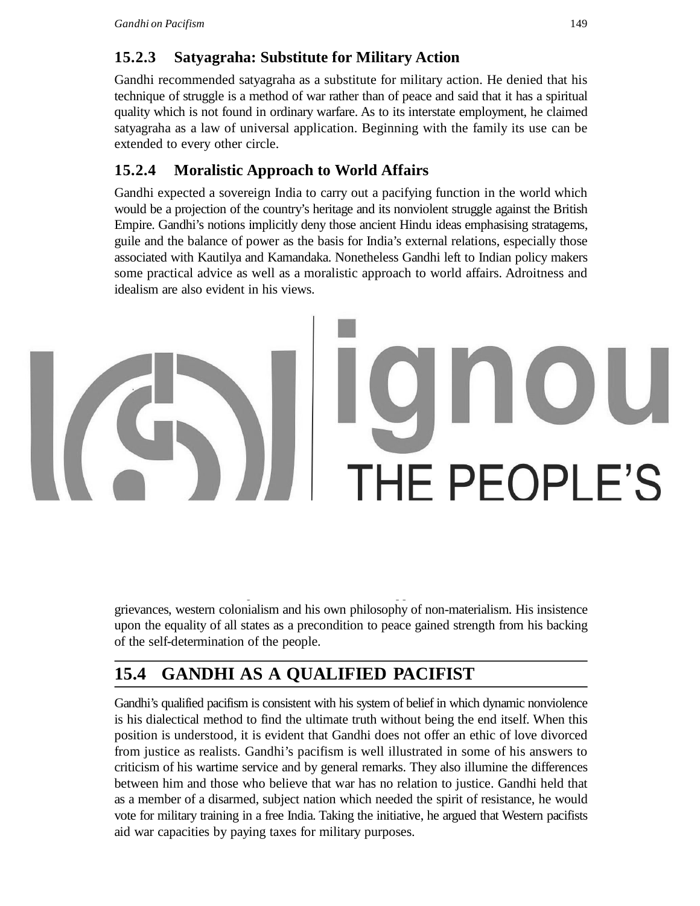## **15.2.3 Satyagraha: Substitute for Military Action**

Gandhi recommended satyagraha as a substitute for military action. He denied that his technique of struggle is a method of war rather than of peace and said that it has a spiritual quality which is not found in ordinary warfare. As to its interstate employment, he claimed satyagraha as a law of universal application. Beginning with the family its use can be extended to every other circle.

## **15.2.4 Moralistic Approach to World Affairs**

Gandhi expected a sovereign India to carry out a pacifying function in the world which would be a projection of the country's heritage and its nonviolent struggle against the British Empire. Gandhi's notions implicitly deny those ancient Hindu ideas emphasising stratagems, guile and the balance of power as the basis for India's external relations, especially those associated with Kautilya and Kamandaka. Nonetheless Gandhi left to Indian policy makers some practical advice as well as a moralistic approach to world affairs. Adroitness and idealism are also evident in his views.

# **15.3 THE BHAGVAD GITA AND PACIFISM**

Gandhi drew two lessons from the Bhagavad Gita: to base action on unselfishness and to be detached from worldly benefits. He did not believe that seeking Indian freedom by wartime service had been selfish or to be detached means to ignore or shun the profits of action. Gandhi's moral was to avoid asking for something, it was not a refusal to accept something good from evil.

## **15.3.1 Forgive the Opponents**

As causes of war, Gandhi named western imperialism and fascism. He also cited communism as a threat to world peace. His criticism of the three ideologies is qualified by an ability to forgive opponents and his faith in their reformation. Behind these political forces he saw man's economic greed and recourse to violence as deeper sources of aggression. As remedies he called for economic justice, sovereign equality and peaceful cooperation among states as requisites for international harmony.

### **15.3.2 Rejection of Materialism**

Gandhi's solution for a peaceful world received support from his views on economic grievances, western colonialism and his own philosophy of non-materialism. His insistence upon the equality of all states as a precondition to peace gained strength from his backing of the self-determination of the people.

# **15.4 GANDHI AS A QUALIFIED PACIFIST**

Gandhi's qualified pacifism is consistent with his system of belief in which dynamic nonviolence is his dialectical method to find the ultimate truth without being the end itself. When this position is understood, it is evident that Gandhi does not offer an ethic of love divorced from justice as realists. Gandhi's pacifism is well illustrated in some of his answers to criticism of his wartime service and by general remarks. They also illumine the differences between him and those who believe that war has no relation to justice. Gandhi held that as a member of a disarmed, subject nation which needed the spirit of resistance, he would vote for military training in a free India. Taking the initiative, he argued that Western pacifists aid war capacities by paying taxes for military purposes.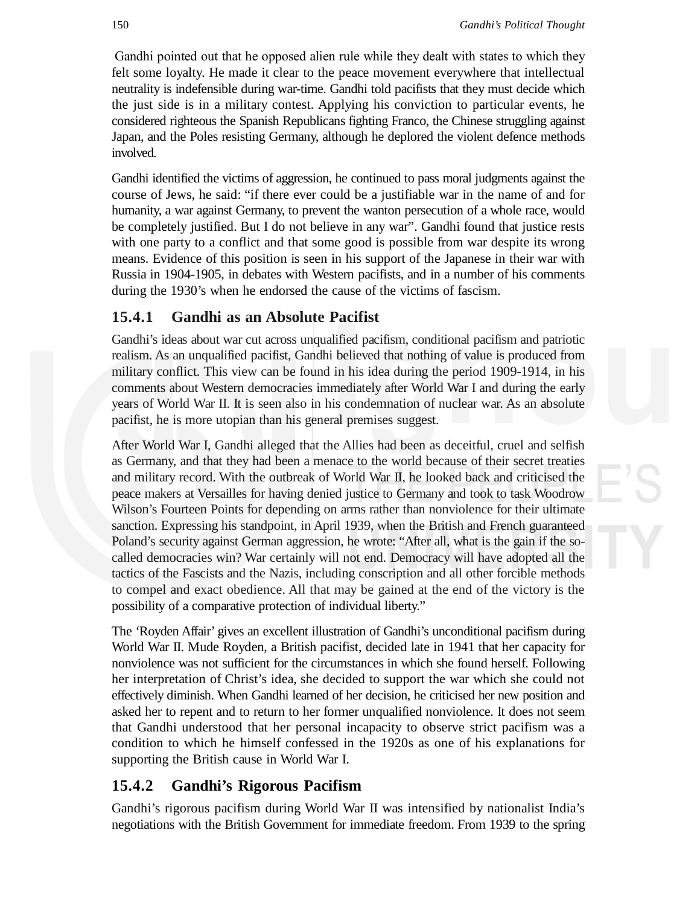Gandhi pointed out that he opposed alien rule while they dealt with states to which they felt some loyalty. He made it clear to the peace movement everywhere that intellectual neutrality is indefensible during war-time. Gandhi told pacifists that they must decide which the just side is in a military contest. Applying his conviction to particular events, he considered righteous the Spanish Republicans fighting Franco, the Chinese struggling against Japan, and the Poles resisting Germany, although he deplored the violent defence methods involved.

Gandhi identified the victims of aggression, he continued to pass moral judgments against the course of Jews, he said: "if there ever could be a justifiable war in the name of and for humanity, a war against Germany, to prevent the wanton persecution of a whole race, would be completely justified. But I do not believe in any war". Gandhi found that justice rests with one party to a conflict and that some good is possible from war despite its wrong means. Evidence of this position is seen in his support of the Japanese in their war with Russia in 1904-1905, in debates with Western pacifists, and in a number of his comments during the 1930's when he endorsed the cause of the victims of fascism.

### **15.4.1 Gandhi as an Absolute Pacifist**

Gandhi's ideas about war cut across unqualified pacifism, conditional pacifism and patriotic realism. As an unqualified pacifist, Gandhi believed that nothing of value is produced from military conflict. This view can be found in his idea during the period 1909-1914, in his comments about Western democracies immediately after World War I and during the early years of World War II. It is seen also in his condemnation of nuclear war. As an absolute pacifist, he is more utopian than his general premises suggest.

After World War I, Gandhi alleged that the Allies had been as deceitful, cruel and selfish as Germany, and that they had been a menace to the world because of their secret treaties and military record. With the outbreak of World War II, he looked back and criticised the peace makers at Versailles for having denied justice to Germany and took to task Woodrow Wilson's Fourteen Points for depending on arms rather than nonviolence for their ultimate sanction. Expressing his standpoint, in April 1939, when the British and French guaranteed Poland's security against German aggression, he wrote: "After all, what is the gain if the socalled democracies win? War certainly will not end. Democracy will have adopted all the tactics of the Fascists and the Nazis, including conscription and all other forcible methods to compel and exact obedience. All that may be gained at the end of the victory is the possibility of a comparative protection of individual liberty."

The 'Royden Affair' gives an excellent illustration of Gandhi's unconditional pacifism during World War II. Mude Royden, a British pacifist, decided late in 1941 that her capacity for nonviolence was not sufficient for the circumstances in which she found herself. Following her interpretation of Christ's idea, she decided to support the war which she could not effectively diminish. When Gandhi learned of her decision, he criticised her new position and asked her to repent and to return to her former unqualified nonviolence. It does not seem that Gandhi understood that her personal incapacity to observe strict pacifism was a condition to which he himself confessed in the 1920s as one of his explanations for supporting the British cause in World War I.

### **15.4.2 Gandhi's Rigorous Pacifism**

Gandhi's rigorous pacifism during World War II was intensified by nationalist India's negotiations with the British Government for immediate freedom. From 1939 to the spring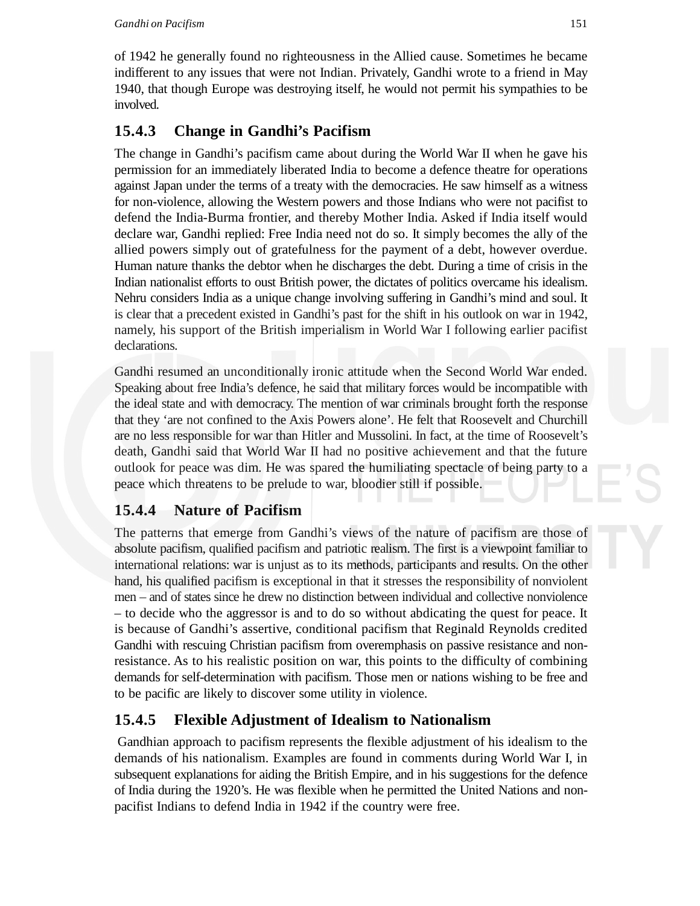### **15.4.3 Change in Gandhi's Pacifism**

The change in Gandhi's pacifism came about during the World War II when he gave his permission for an immediately liberated India to become a defence theatre for operations against Japan under the terms of a treaty with the democracies. He saw himself as a witness for non-violence, allowing the Western powers and those Indians who were not pacifist to defend the India-Burma frontier, and thereby Mother India. Asked if India itself would declare war, Gandhi replied: Free India need not do so. It simply becomes the ally of the allied powers simply out of gratefulness for the payment of a debt, however overdue. Human nature thanks the debtor when he discharges the debt. During a time of crisis in the Indian nationalist efforts to oust British power, the dictates of politics overcame his idealism. Nehru considers India as a unique change involving suffering in Gandhi's mind and soul. It is clear that a precedent existed in Gandhi's past for the shift in his outlook on war in 1942, namely, his support of the British imperialism in World War I following earlier pacifist declarations.

Gandhi resumed an unconditionally ironic attitude when the Second World War ended. Speaking about free India's defence, he said that military forces would be incompatible with the ideal state and with democracy. The mention of war criminals brought forth the response that they 'are not confined to the Axis Powers alone'. He felt that Roosevelt and Churchill are no less responsible for war than Hitler and Mussolini. In fact, at the time of Roosevelt's death, Gandhi said that World War II had no positive achievement and that the future outlook for peace was dim. He was spared the humiliating spectacle of being party to a peace which threatens to be prelude to war, bloodier still if possible.

### **15.4.4 Nature of Pacifism**

The patterns that emerge from Gandhi's views of the nature of pacifism are those of absolute pacifism, qualified pacifism and patriotic realism. The first is a viewpoint familiar to international relations: war is unjust as to its methods, participants and results. On the other hand, his qualified pacifism is exceptional in that it stresses the responsibility of nonviolent men – and of states since he drew no distinction between individual and collective nonviolence – to decide who the aggressor is and to do so without abdicating the quest for peace. It is because of Gandhi's assertive, conditional pacifism that Reginald Reynolds credited Gandhi with rescuing Christian pacifism from overemphasis on passive resistance and nonresistance. As to his realistic position on war, this points to the difficulty of combining demands for self-determination with pacifism. Those men or nations wishing to be free and to be pacific are likely to discover some utility in violence.

### **15.4.5 Flexible Adjustment of Idealism to Nationalism**

Gandhian approach to pacifism represents the flexible adjustment of his idealism to the demands of his nationalism. Examples are found in comments during World War I, in subsequent explanations for aiding the British Empire, and in his suggestions for the defence of India during the 1920's. He was flexible when he permitted the United Nations and nonpacifist Indians to defend India in 1942 if the country were free.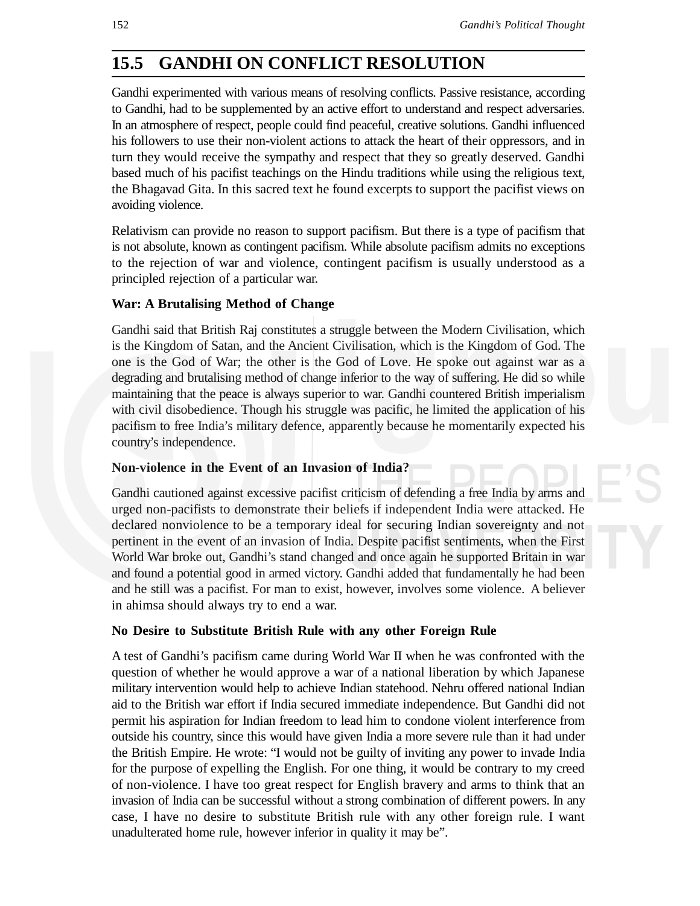### **15.5 GANDHI ON CONFLICT RESOLUTION**

Gandhi experimented with various means of resolving conflicts. Passive resistance, according to Gandhi, had to be supplemented by an active effort to understand and respect adversaries. In an atmosphere of respect, people could find peaceful, creative solutions. Gandhi influenced his followers to use their non-violent actions to attack the heart of their oppressors, and in turn they would receive the sympathy and respect that they so greatly deserved. Gandhi based much of his pacifist teachings on the Hindu traditions while using the religious text, the Bhagavad Gita. In this sacred text he found excerpts to support the pacifist views on avoiding violence.

Relativism can provide no reason to support pacifism. But there is a type of pacifism that is not absolute, known as contingent pacifism. While absolute pacifism admits no exceptions to the rejection of war and violence, contingent pacifism is usually understood as a principled rejection of a particular war.

#### **War: A Brutalising Method of Change**

Gandhi said that British Raj constitutes a struggle between the Modern Civilisation, which is the Kingdom of Satan, and the Ancient Civilisation, which is the Kingdom of God. The one is the God of War; the other is the God of Love. He spoke out against war as a degrading and brutalising method of change inferior to the way of suffering. He did so while maintaining that the peace is always superior to war. Gandhi countered British imperialism with civil disobedience. Though his struggle was pacific, he limited the application of his pacifism to free India's military defence, apparently because he momentarily expected his country's independence.

#### **Non-violence in the Event of an Invasion of India?**

Gandhi cautioned against excessive pacifist criticism of defending a free India by arms and urged non-pacifists to demonstrate their beliefs if independent India were attacked. He declared nonviolence to be a temporary ideal for securing Indian sovereignty and not pertinent in the event of an invasion of India. Despite pacifist sentiments, when the First World War broke out, Gandhi's stand changed and once again he supported Britain in war and found a potential good in armed victory. Gandhi added that fundamentally he had been and he still was a pacifist. For man to exist, however, involves some violence. A believer in ahimsa should always try to end a war.

#### **No Desire to Substitute British Rule with any other Foreign Rule**

A test of Gandhi's pacifism came during World War II when he was confronted with the question of whether he would approve a war of a national liberation by which Japanese military intervention would help to achieve Indian statehood. Nehru offered national Indian aid to the British war effort if India secured immediate independence. But Gandhi did not permit his aspiration for Indian freedom to lead him to condone violent interference from outside his country, since this would have given India a more severe rule than it had under the British Empire. He wrote: "I would not be guilty of inviting any power to invade India for the purpose of expelling the English. For one thing, it would be contrary to my creed of non-violence. I have too great respect for English bravery and arms to think that an invasion of India can be successful without a strong combination of different powers. In any case, I have no desire to substitute British rule with any other foreign rule. I want unadulterated home rule, however inferior in quality it may be".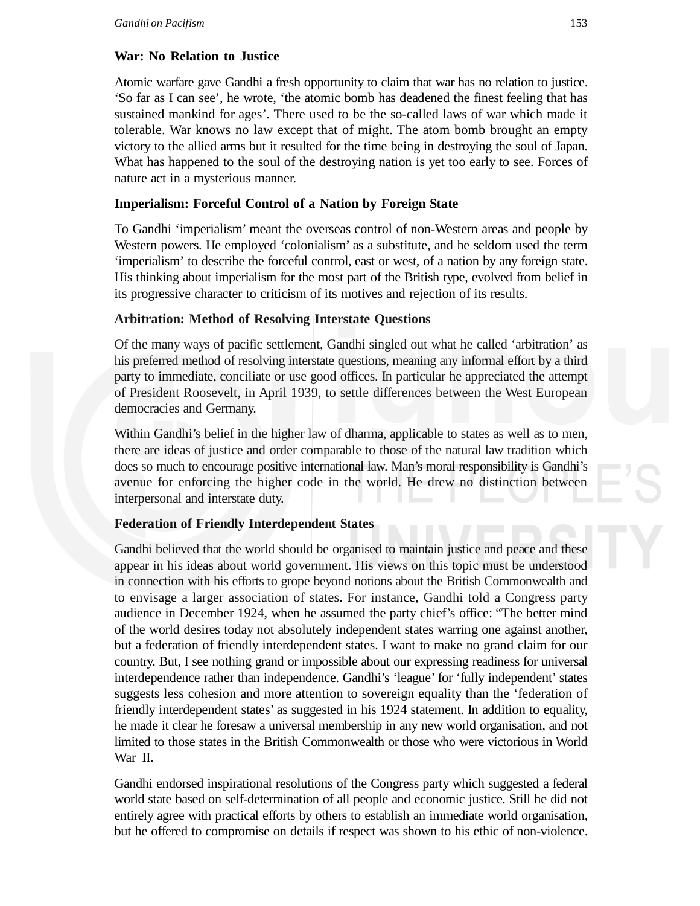#### **War: No Relation to Justice**

Atomic warfare gave Gandhi a fresh opportunity to claim that war has no relation to justice. 'So far as I can see', he wrote, 'the atomic bomb has deadened the finest feeling that has sustained mankind for ages'. There used to be the so-called laws of war which made it tolerable. War knows no law except that of might. The atom bomb brought an empty victory to the allied arms but it resulted for the time being in destroying the soul of Japan. What has happened to the soul of the destroying nation is yet too early to see. Forces of nature act in a mysterious manner.

### **Imperialism: Forceful Control of a Nation by Foreign State**

To Gandhi 'imperialism' meant the overseas control of non-Western areas and people by Western powers. He employed 'colonialism' as a substitute, and he seldom used the term 'imperialism' to describe the forceful control, east or west, of a nation by any foreign state. His thinking about imperialism for the most part of the British type, evolved from belief in its progressive character to criticism of its motives and rejection of its results.

#### **Arbitration: Method of Resolving Interstate Questions**

Of the many ways of pacific settlement, Gandhi singled out what he called 'arbitration' as his preferred method of resolving interstate questions, meaning any informal effort by a third party to immediate, conciliate or use good offices. In particular he appreciated the attempt of President Roosevelt, in April 1939, to settle differences between the West European democracies and Germany.

Within Gandhi's belief in the higher law of dharma, applicable to states as well as to men, there are ideas of justice and order comparable to those of the natural law tradition which does so much to encourage positive international law. Man's moral responsibility is Gandhi's avenue for enforcing the higher code in the world. He drew no distinction between interpersonal and interstate duty.

### **Federation of Friendly Interdependent States**

Gandhi believed that the world should be organised to maintain justice and peace and these appear in his ideas about world government. His views on this topic must be understood in connection with his efforts to grope beyond notions about the British Commonwealth and to envisage a larger association of states. For instance, Gandhi told a Congress party audience in December 1924, when he assumed the party chief's office: "The better mind of the world desires today not absolutely independent states warring one against another, but a federation of friendly interdependent states. I want to make no grand claim for our country. But, I see nothing grand or impossible about our expressing readiness for universal interdependence rather than independence. Gandhi's 'league' for 'fully independent' states suggests less cohesion and more attention to sovereign equality than the 'federation of friendly interdependent states' as suggested in his 1924 statement. In addition to equality, he made it clear he foresaw a universal membership in any new world organisation, and not limited to those states in the British Commonwealth or those who were victorious in World War II.

Gandhi endorsed inspirational resolutions of the Congress party which suggested a federal world state based on self-determination of all people and economic justice. Still he did not entirely agree with practical efforts by others to establish an immediate world organisation, but he offered to compromise on details if respect was shown to his ethic of non-violence.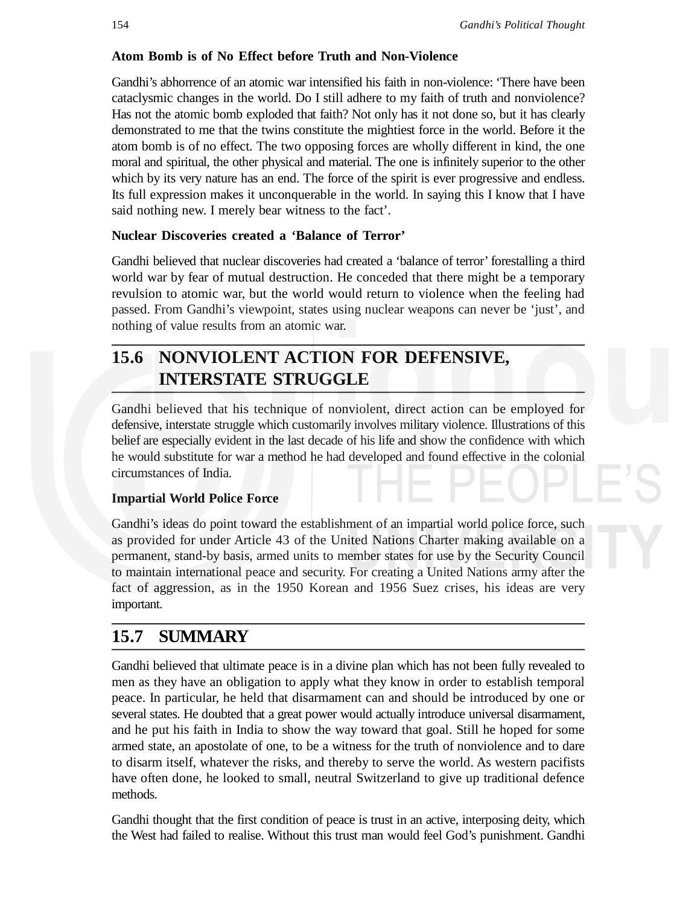#### **Atom Bomb is of No Effect before Truth and Non-Violence**

Gandhi's abhorrence of an atomic war intensified his faith in non-violence: 'There have been cataclysmic changes in the world. Do I still adhere to my faith of truth and nonviolence? Has not the atomic bomb exploded that faith? Not only has it not done so, but it has clearly demonstrated to me that the twins constitute the mightiest force in the world. Before it the atom bomb is of no effect. The two opposing forces are wholly different in kind, the one moral and spiritual, the other physical and material. The one is infinitely superior to the other which by its very nature has an end. The force of the spirit is ever progressive and endless. Its full expression makes it unconquerable in the world. In saying this I know that I have said nothing new. I merely bear witness to the fact'.

#### **Nuclear Discoveries created a 'Balance of Terror'**

Gandhi believed that nuclear discoveries had created a 'balance of terror' forestalling a third world war by fear of mutual destruction. He conceded that there might be a temporary revulsion to atomic war, but the world would return to violence when the feeling had passed. From Gandhi's viewpoint, states using nuclear weapons can never be 'just', and nothing of value results from an atomic war.

## **15.6 NONVIOLENT ACTION FOR DEFENSIVE, INTERSTATE STRUGGLE**

Gandhi believed that his technique of nonviolent, direct action can be employed for defensive, interstate struggle which customarily involves military violence. Illustrations of this belief are especially evident in the last decade of his life and show the confidence with which he would substitute for war a method he had developed and found effective in the colonial circumstances of India.

#### **Impartial World Police Force**

Gandhi's ideas do point toward the establishment of an impartial world police force, such as provided for under Article 43 of the United Nations Charter making available on a permanent, stand-by basis, armed units to member states for use by the Security Council to maintain international peace and security. For creating a United Nations army after the fact of aggression, as in the 1950 Korean and 1956 Suez crises, his ideas are very important.

### **15.7 SUMMARY**

Gandhi believed that ultimate peace is in a divine plan which has not been fully revealed to men as they have an obligation to apply what they know in order to establish temporal peace. In particular, he held that disarmament can and should be introduced by one or several states. He doubted that a great power would actually introduce universal disarmament, and he put his faith in India to show the way toward that goal. Still he hoped for some armed state, an apostolate of one, to be a witness for the truth of nonviolence and to dare to disarm itself, whatever the risks, and thereby to serve the world. As western pacifists have often done, he looked to small, neutral Switzerland to give up traditional defence methods.

Gandhi thought that the first condition of peace is trust in an active, interposing deity, which the West had failed to realise. Without this trust man would feel God's punishment. Gandhi